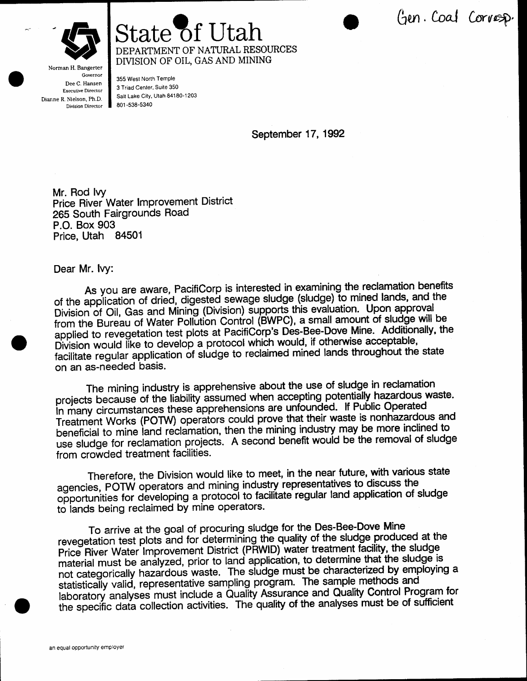

Gen. Coal Corresp.



Norman H. Bangerter Governor Dee C. Hansen **Executive Director** Dianne R. Nielson, Ph.D. Division Director 801-538-5340

355 West North Temple 3 Triad Center, Suite 350 Salt Lake City, Utah 84180-1203

State of Utah

DEPARTMENT OF NATURAL RESOURCES DIVISION OF OIL, GAS AND MINING

September 17, 1992

Mr. Rod Ivy Price River Water Improvement District 265 South Fairgrounds Road P.O. Box 903 Price, Utah 84501

Dear Mr. Ivy:

As you are aware, PacifiCorp is interested in examining the reclamation benefits of the application of dried, digested sewage sludge (sludge) to mined lands, and the Division of Oil, Gas and Mining (Division) supports this evaluation. Upon approval from the Bureau of Water Pollution Control (BWPC), a small amount of sludge will be applied to revegetation test plots at PacifiCorp's Des-Bee-Dove Mine. Additionally, the Division would like to develop a protocol which would, if otherwise acceptable, facilitate regular application of sludge to reclaimed mined lands throughout the state on an as-needed basis.

The mining industry is apprehensive about the use of sludge in reclamation projects because of the liability assumed when accepting potentially hazardous waste. In many circumstances these apprehensions are unfounded. If Public Operated Treatment Works (POTW) operators could prove that their waste is nonhazardous and beneficial to mine land reclamation, then the mining industry may be more inclined to use sludge for reclamation projects. A second benefit would be the removal of sludge from crowded treatment facilities.

Therefore, the Division would like to meet, in the near future, with various state agencies, POTW operators and mining industry representatives to discuss the opportunities for developing a protocol to facilitate regular land application of sludge to lands being reclaimed by mine operators.

To arrive at the goal of procuring sludge for the Des-Bee-Dove Mine revegetation test plots and for determining the quality of the sludge produced at the Price River Water Improvement District (PRWID) water treatment facility, the sludge material must be analyzed, prior to land application, to determine that the sludge is not categorically hazardous waste. The sludge must be characterized by employing a statistically valid, representative sampling program. The sample methods and laboratory analyses must include a Quality Assurance and Quality Control Program for the specific data collection activities. The quality of the analyses must be of sufficient